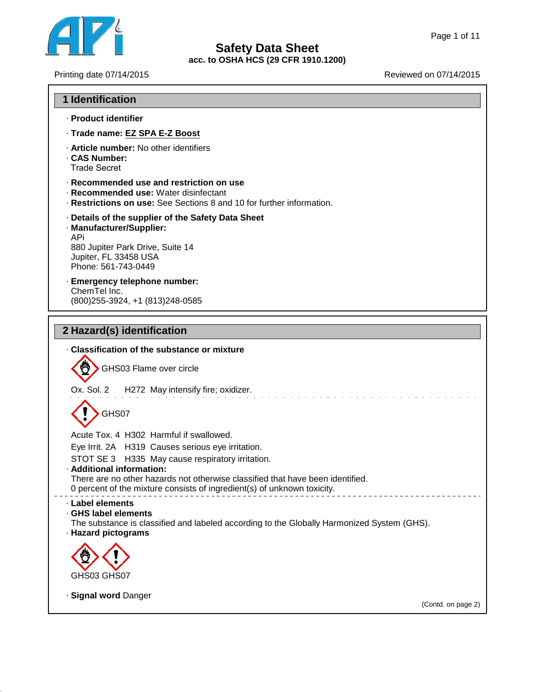

٦

# **Safety Data Sheet acc. to OSHA HCS (29 CFR 1910.1200)** Page 1 of 11<br>
Reviewed on 07/14/2015<br>
Reviewed on 07/14/2015<br>
Reviewed on 07/14/2015

 $\overline{\Gamma}$ 

41.1.0

| <b>1 Identification</b>                                                                                                                                                    |
|----------------------------------------------------------------------------------------------------------------------------------------------------------------------------|
| · Product identifier                                                                                                                                                       |
| · Trade name: EZ SPA E-Z Boost                                                                                                                                             |
| . Article number: No other identifiers<br>. CAS Number:<br><b>Trade Secret</b>                                                                                             |
| · Recommended use and restriction on use<br>· Recommended use: Water disinfectant<br>Restrictions on use: See Sections 8 and 10 for further information.                   |
| · Details of the supplier of the Safety Data Sheet<br>· Manufacturer/Supplier:<br>APi.<br>880 Jupiter Park Drive, Suite 14<br>Jupiter, FL 33458 USA<br>Phone: 561-743-0449 |
| · Emergency telephone number:<br>ChemTel Inc.<br>(800) 255-3924, +1 (813) 248-0585                                                                                         |
| 2 Hazard(s) identification                                                                                                                                                 |
| . Classification of the substance or mixture                                                                                                                               |
| GHS03 Flame over circle                                                                                                                                                    |
| Ox. Sol. 2<br>H272 May intensify fire; oxidizer.                                                                                                                           |
| GHS07                                                                                                                                                                      |
| Acute Tox. 4 H302 Harmful if swallowed.                                                                                                                                    |
| Eye Irrit. 2A H319 Causes serious eye irritation.                                                                                                                          |
| STOT SE 3 H335 May cause respiratory irritation.<br>· Additional information:                                                                                              |
| There are no other hazards not otherwise classified that have been identified.<br>0 percent of the mixture consists of ingredient(s) of unknown toxicity.                  |
| Label elements<br>GHS label elements<br>The substance is classified and labeled according to the Globally Harmonized System (GHS).<br>· Hazard pictograms                  |
|                                                                                                                                                                            |
| GHS03 GHS07                                                                                                                                                                |
| · Signal word Danger<br>(Contd. on page 2)                                                                                                                                 |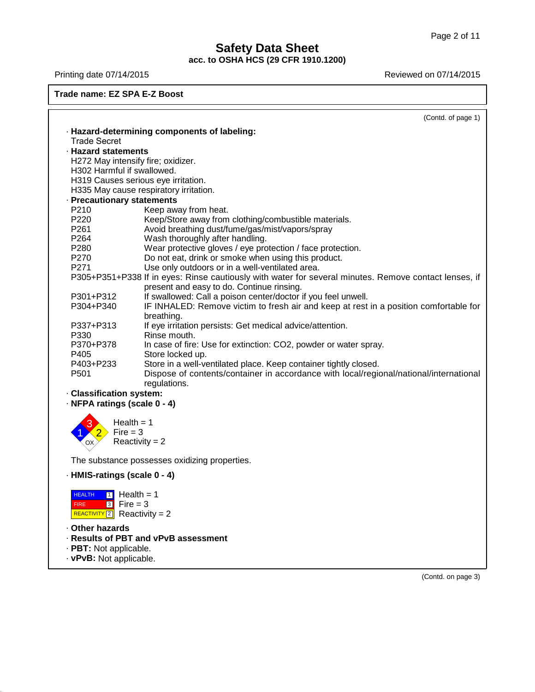# **Safety Data Sheet acc. to OSHA HCS (29 CFR 1910.1200)** Page 2 of 11<br> **Safety Data Sheet**<br>
acc. to OSHA HCS (29 CFR 1910.1200)<br>
Reviewed on 07/14/2015<br>
Reviewed on 07/14/2015<br>
Reviewed on 07/14/2015

# **Trade name: EZ SPA E-Z Boost**

|                              | (Contd. of page 1)                                                                                    |
|------------------------------|-------------------------------------------------------------------------------------------------------|
|                              | · Hazard-determining components of labeling:                                                          |
| <b>Trade Secret</b>          |                                                                                                       |
| · Hazard statements          |                                                                                                       |
|                              | H272 May intensify fire; oxidizer.                                                                    |
| H302 Harmful if swallowed.   |                                                                                                       |
|                              | H319 Causes serious eye irritation.                                                                   |
|                              | H335 May cause respiratory irritation.                                                                |
| · Precautionary statements   |                                                                                                       |
| P210                         | Keep away from heat.                                                                                  |
| P220                         | Keep/Store away from clothing/combustible materials.                                                  |
| P <sub>261</sub>             | Avoid breathing dust/fume/gas/mist/vapors/spray                                                       |
| P264                         | Wash thoroughly after handling.                                                                       |
| P280                         | Wear protective gloves / eye protection / face protection.                                            |
| P270                         | Do not eat, drink or smoke when using this product.                                                   |
| P271                         | Use only outdoors or in a well-ventilated area.                                                       |
|                              | P305+P351+P338 If in eyes: Rinse cautiously with water for several minutes. Remove contact lenses, if |
|                              | present and easy to do. Continue rinsing.                                                             |
| P301+P312                    | If swallowed: Call a poison center/doctor if you feel unwell.                                         |
| P304+P340                    | IF INHALED: Remove victim to fresh air and keep at rest in a position comfortable for                 |
|                              | breathing.                                                                                            |
| P337+P313                    | If eye irritation persists: Get medical advice/attention.                                             |
| P330                         | Rinse mouth.                                                                                          |
| P370+P378                    | In case of fire: Use for extinction: CO2, powder or water spray.                                      |
| P405                         | Store locked up.                                                                                      |
| P403+P233                    | Store in a well-ventilated place. Keep container tightly closed.                                      |
| P501                         | Dispose of contents/container in accordance with local/regional/national/international                |
|                              | regulations.                                                                                          |
| · Classification system:     |                                                                                                       |
| · NFPA ratings (scale 0 - 4) |                                                                                                       |
|                              |                                                                                                       |
|                              | Health $=$ 1                                                                                          |
| $Fire = 3$                   |                                                                                                       |
| OX                           | Reactivity = $2$                                                                                      |
|                              |                                                                                                       |
|                              | The substance possesses oxidizing properties.                                                         |
|                              |                                                                                                       |
| · HMIS-ratings (scale 0 - 4) |                                                                                                       |
| <b>HEALTH</b>                | $\lceil \cdot \rceil$ Health = 1                                                                      |
| $3$ Fire = 3<br><b>FIRE</b>  |                                                                                                       |
|                              |                                                                                                       |
| REACTIVITY 2 Reactivity = 2  |                                                                                                       |
| · Other hazards              |                                                                                                       |
|                              | · Results of PBT and vPvB assessment                                                                  |
| · PBT: Not applicable.       |                                                                                                       |

· **vPvB:** Not applicable.

41.1.0

(Contd. on page 3)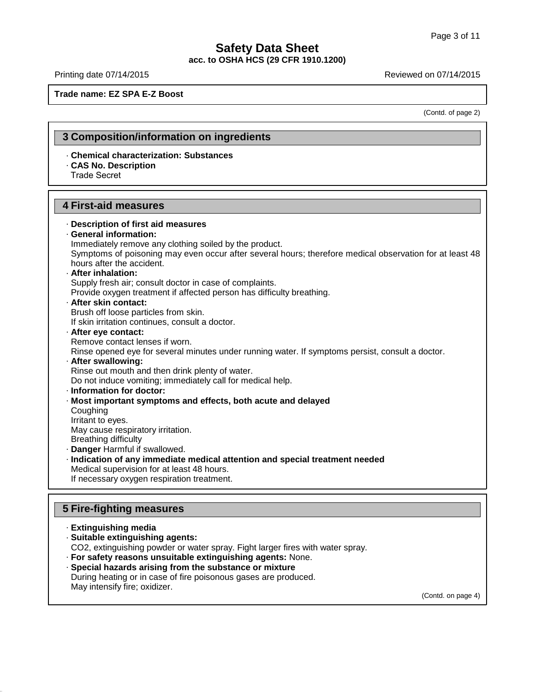# **Safety Data Sheet acc. to OSHA HCS (29 CFR 1910.1200)** Page 3 of 11<br> **Safety Data Sheet**<br>
acc. to OSHA HCS (29 CFR 1910.1200)<br>
Reviewed on 07/14/2015<br>
Reviewed on 07/14/2015<br>
Reviewed on 07/14/2015

**Trade name: EZ SPA E-Z Boost**

(Contd. of page 2)

### **3 Composition/information on ingredients**

· **Chemical characterization: Substances** · **CAS No. Description** Trade Secret

### **4 First-aid measures**

- · **Description of first aid measures** · **General information:** Immediately remove any clothing soiled by the product. Symptoms of poisoning may even occur after several hours; therefore medical observation for at least 48 hours after the accident. · **After inhalation:** Supply fresh air; consult doctor in case of complaints. Provide oxygen treatment if affected person has difficulty breathing. · **After skin contact:** Brush off loose particles from skin. If skin irritation continues, consult a doctor. · **After eye contact:** Remove contact lenses if worn. Rinse opened eye for several minutes under running water. If symptoms persist, consult a doctor. · **After swallowing:** Rinse out mouth and then drink plenty of water. Do not induce vomiting; immediately call for medical help. · **Information fordoctor:**
- · **Most important symptoms and effects, both acute and delayed**
- **Coughing** Irritant to eyes.
- May cause respiratory irritation.
- Breathing difficulty
- · **Danger** Harmful if swallowed.
- · **Indication of any immediate medical attention and special treatment needed** Medical supervision for at least 48 hours. If necessary oxygen respiration treatment.

# **5 Fire-fighting measures**

· **Extinguishing media**

41.1.0

- · **Suitable extinguishing agents:**
- CO2, extinguishing powder or water spray. Fight larger fires with water spray.
- · **For safety reasons unsuitable extinguishing agents:** None. · **Special hazards arising from the substance or mixture**
- During heating or in case of fire poisonous gases are produced. May intensify fire; oxidizer.

(Contd. on page 4)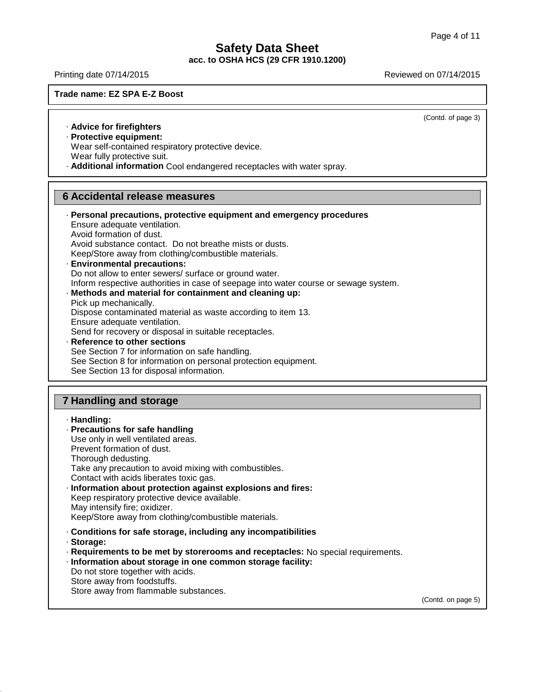# **Safety Data Sheet acc. to OSHA HCS (29 CFR 1910.1200)** Page 4 of 11<br> **Safety Data Sheet**<br>
acc. to OSHA HCS (29 CFR 1910.1200)<br>
Reviewed on 07/14/2015<br>
Reviewed on 07/14/2015

### **Trade name: EZ SPA E-Z Boost**

(Contd. of page 3)

· **Advice for firefighters**

· **Protective equipment:**

Wear self-contained respiratory protective device.

Wear fully protective suit.

· **Additional information** Cool endangered receptacles with water spray.

# **6 Accidental release measures**

| · Personal precautions, protective equipment and emergency procedures<br>Ensure adequate ventilation.<br>Avoid formation of dust.<br>Avoid substance contact. Do not breathe mists or dusts.<br>Keep/Store away from clothing/combustible materials.<br>· Environmental precautions:<br>Do not allow to enter sewers/ surface or ground water.<br>Inform respective authorities in case of seepage into water course or sewage system.<br>· Methods and material for containment and cleaning up:<br>Pick up mechanically.<br>Dispose contaminated material as waste according to item 13.<br>Ensure adequate ventilation.<br>Send for recovery or disposal in suitable receptacles.<br>· Reference to other sections<br>See Section 7 for information on safe handling.<br>See Section 8 for information on personal protection equipment.<br>See Section 13 for disposal information. |
|-----------------------------------------------------------------------------------------------------------------------------------------------------------------------------------------------------------------------------------------------------------------------------------------------------------------------------------------------------------------------------------------------------------------------------------------------------------------------------------------------------------------------------------------------------------------------------------------------------------------------------------------------------------------------------------------------------------------------------------------------------------------------------------------------------------------------------------------------------------------------------------------|
|                                                                                                                                                                                                                                                                                                                                                                                                                                                                                                                                                                                                                                                                                                                                                                                                                                                                                         |
|                                                                                                                                                                                                                                                                                                                                                                                                                                                                                                                                                                                                                                                                                                                                                                                                                                                                                         |

# **7 Handling and storage**

| · Handling:<br>· Precautions for safe handling<br>Use only in well ventilated areas.<br>Prevent formation of dust.<br>Thorough dedusting.<br>Take any precaution to avoid mixing with combustibles.<br>Contact with acids liberates toxic gas.<br>· Information about protection against explosions and fires:<br>Keep respiratory protective device available.<br>May intensify fire; oxidizer. |
|--------------------------------------------------------------------------------------------------------------------------------------------------------------------------------------------------------------------------------------------------------------------------------------------------------------------------------------------------------------------------------------------------|
| Keep/Store away from clothing/combustible materials.<br>Conditions for safe storage, including any incompatibilities<br>· Storage:<br>· Requirements to be met by storerooms and receptacles: No special requirements.<br>· Information about storage in one common storage facility:<br>Do not store together with acids.<br>Store away from foodstuffs.                                        |

Store away from flammable substances.

41.1.0

(Contd. on page 5)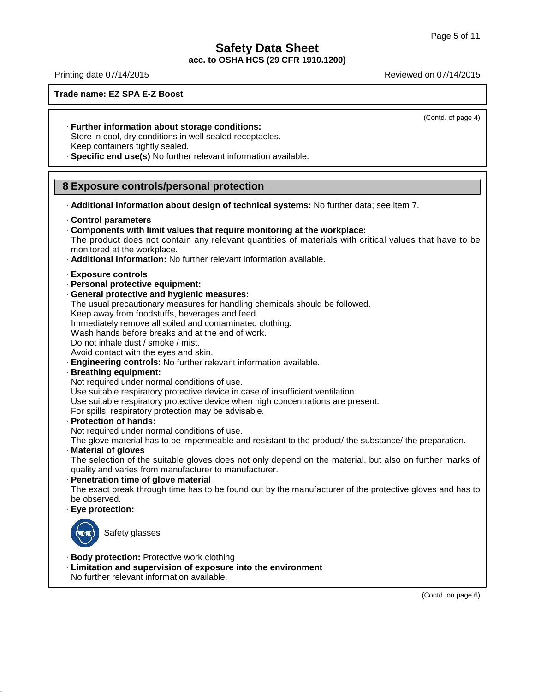# **Safety Data Sheet acc. to OSHA HCS (29 CFR 1910.1200)** Page 5 of 11<br> **Safety Data Sheet**<br>
acc. to OSHA HCS (29 CFR 1910.1200)<br>
Reviewed on 07/14/2015<br>
Reviewed on 07/14/2015

### **Trade name: EZ SPA E-Z Boost**

(Contd. of page 4)

- · **Further information about storage conditions:** Store in cool, dry conditions in well sealed receptacles. Keep containers tightly sealed.
- · **Specific end use(s)** No further relevant information available.

# **8 Exposure controls/personal protection**

· **Additional information about design of technical systems:** No further data; see item 7.

### · **Control parameters**

- · **Components with limit values that require monitoring at the workplace:** The product does not contain any relevant quantities of materials with critical values that have to be monitored at the workplace.
- · **Additional information:** No further relevant information available.
- · **Exposure controls**
- · **Personal protective equipment:**
- · **General protective and hygienic measures:**
- The usual precautionary measures for handling chemicals should be followed.
- Keep away from foodstuffs, beverages and feed.

Immediately remove all soiled and contaminated clothing.

Wash hands before breaks and at the end of work.

Do not inhale dust / smoke / mist.

Avoid contact with the eyes and skin.

- · **Engineering controls:** No further relevant information available.
- · **Breathing equipment:**

Not required under normal conditions of use.

Use suitable respiratory protective device in case of insufficient ventilation.

- Use suitable respiratory protective device when high concentrations are present.
- For spills, respiratory protection may be advisable.
- · **Protection of hands:**

Not required under normal conditions of use.

The glove material has to be impermeable and resistant to the product/ the substance/ the preparation.

· **Material of gloves**

The selection of the suitable gloves does not only depend on the material, but also on further marks of quality and varies from manufacturer to manufacturer.

· **Penetration time of glove material**

The exact break through time has to be found out by the manufacturer of the protective gloves and has to be observed.

· **Eye protection:**



41.1.0

Safety glasses

- · **Body protection:** Protective work clothing
- · **Limitation and supervision of exposure into the environment**
- No further relevant information available.

(Contd. on page 6)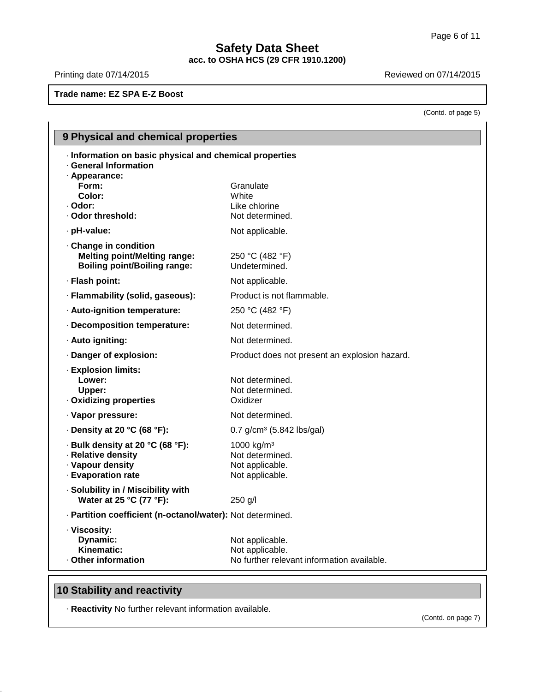# **Safety Data Sheet acc. to OSHA HCS (29 CFR 1910.1200)** Page 6 of 11<br> **Safety Data Sheet**<br>
acc. to OSHA HCS (29 CFR 1910.1200)<br>
Reviewed on 07/14/2015<br>
Reviewed on 07/14/2015

**Trade name: EZ SPA E-Z Boost**

(Contd. of page 5)

| <b>9 Physical and chemical properties</b>                                                             |                                                                                  |
|-------------------------------------------------------------------------------------------------------|----------------------------------------------------------------------------------|
| · Information on basic physical and chemical properties<br>· General Information<br>· Appearance:     |                                                                                  |
| Form:<br>Color:                                                                                       | Granulate<br>White                                                               |
| · Odor:                                                                                               | Like chlorine                                                                    |
| · Odor threshold:                                                                                     | Not determined.                                                                  |
| · pH-value:                                                                                           | Not applicable.                                                                  |
| Change in condition<br><b>Melting point/Melting range:</b><br><b>Boiling point/Boiling range:</b>     | 250 °C (482 °F)<br>Undetermined.                                                 |
| · Flash point:                                                                                        | Not applicable.                                                                  |
| · Flammability (solid, gaseous):                                                                      | Product is not flammable.                                                        |
| · Auto-ignition temperature:                                                                          | 250 °C (482 °F)                                                                  |
| · Decomposition temperature:                                                                          | Not determined.                                                                  |
| · Auto igniting:                                                                                      | Not determined.                                                                  |
| · Danger of explosion:                                                                                | Product does not present an explosion hazard.                                    |
| · Explosion limits:<br>Lower:<br>Upper:<br>· Oxidizing properties                                     | Not determined.<br>Not determined.<br>Oxidizer                                   |
| · Vapor pressure:                                                                                     | Not determined.                                                                  |
| $\cdot$ Density at 20 °C (68 °F):                                                                     | 0.7 g/cm <sup>3</sup> (5.842 lbs/gal)                                            |
| - Bulk density at 20 °C (68 °F):<br>· Relative density<br>· Vapour density<br><b>Evaporation rate</b> | 1000 $kg/m3$<br>Not determined.<br>Not applicable.<br>Not applicable.            |
| · Solubility in / Miscibility with<br>Water at 25 °C (77 °F):                                         | 250 g/l                                                                          |
| · Partition coefficient (n-octanol/water): Not determined.                                            |                                                                                  |
| · Viscosity:<br>Dynamic:<br>Kinematic:<br>· Other information                                         | Not applicable.<br>Not applicable.<br>No further relevant information available. |
|                                                                                                       |                                                                                  |

# **10 Stability and reactivity**

41.1.0

· **Reactivity** No further relevant information available.

(Contd. on page 7)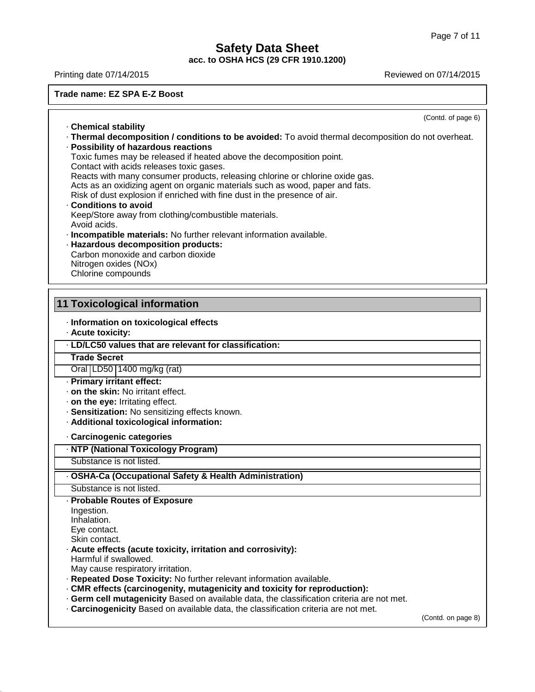# **Safety Data Sheet**

**acc. to OSHA HCS (29 CFR 1910.1200)**

(Contd. of page 6) · **Chemical stability** · **Thermal decomposition / conditions to be avoided:** To avoid thermal decomposition do not overheat. · **Possibility of hazardous reactions** Toxic fumes may be released if heated above the decomposition point. Contact with acids releases toxic gases. Reacts with many consumer products, releasing chlorine or chlorine oxide gas. Acts as an oxidizing agent on organic materials such as wood, paper and fats. Risk of dust explosion if enriched with fine dust in the presence of air. · **Conditions to avoid** Keep/Store away from clothing/combustible materials. Avoid acids. · **Incompatible materials:** No further relevant information available. · **Hazardous decomposition products:** Carbon monoxide and carbon dioxide Nitrogen oxides (NOx) Chlorine compounds **11 Toxicological information** · **Information on toxicological effects** · **Acute toxicity:** · **LD/LC50 values that are relevant for classification:** Oral LD50 1400 mg/kg (rat) · **Primary irritant effect:** · **on the skin:** No irritant effect. · **on the eye:** Irritating effect. · **Sensitization:** No sensitizing effects known. · **Additional toxicological information:** · **Carcinogenic categories** · **NTP (National Toxicology Program)** Substance is not listed. · **OSHA-Ca (Occupational Safety & Health Administration)** Substance is not listed. · **Probable Routes of Exposure** Ingestion. Inhalation. Eye contact. Skin contact. · **Acute effects (acute toxicity, irritation and corrosivity):** Harmful if swallowed. May cause respiratory irritation. · **Repeated Dose Toxicity:** No further relevant information available. · **CMR effects (carcinogenity, mutagenicity and toxicity for reproduction):** Page 7 of 11<br> **Safety Data Sheet**<br>
acc. to OSHA HCS (29 CFR 1910.1200)<br>
Reviewed on 07/14/2015<br>
Reviewed on 07/14/2015<br>
Reviewed on 07/14/2015 **Trade Secret**

· **Germ cell mutagenicity** Based on available data, the classification criteria are not met. · **Carcinogenicity** Based on available data, the classification criteria are not met.

(Contd. on page 8)

41.1.0

#### **Trade name: EZ SPA E-Z Boost**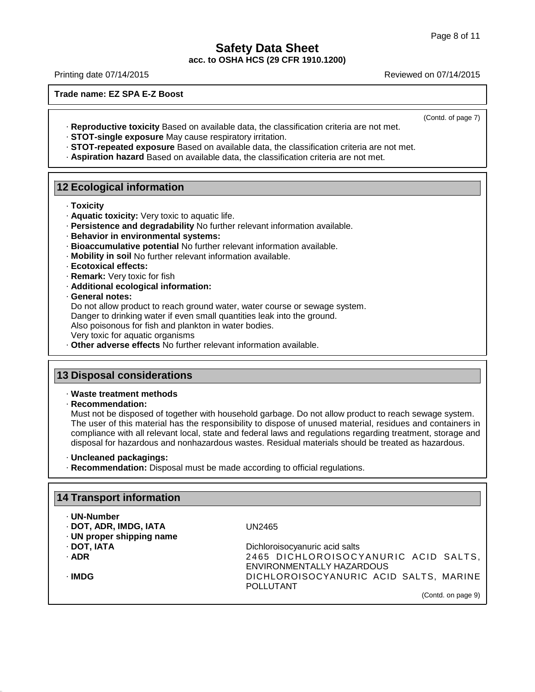# **Safety Data Sheet acc. to OSHA HCS (29 CFR 1910.1200)** Page 8 of 11<br> **Safety Data Sheet**<br>
acc. to OSHA HCS (29 CFR 1910.1200)<br>
Reviewed on 07/14/2015<br>
Reviewed on 07/14/2015

**Trade name: EZ SPA E-Z Boost**

(Contd. of page 7)

- · **Reproductive toxicity** Based on available data, the classification criteria are not met.
- · **STOT-single exposure** May cause respiratory irritation.
- · **STOT-repeated exposure** Based on available data, the classification criteria are not met.
- · **Aspiration hazard** Based on available data, the classification criteria are not met.

# **12 Ecological information**

- · **Toxicity**
- · **Aquatic toxicity:** Very toxic to aquatic life.
- · **Persistence and degradability** No further relevant information available.
- · **Behavior in environmental systems:**
- · **Bioaccumulative potential** No further relevant information available.
- · **Mobility in soil** No further relevant information available.
- · **Ecotoxical effects:**
- · **Remark:** Very toxic for fish
- · **Additional ecological information:**
- · **General notes:**

Do not allow product to reach ground water, water course or sewage system.

Danger to drinking water if even small quantities leak into the ground.

Also poisonous for fish and plankton in water bodies.

- Very toxic for aquatic organisms
- · **Other adverse effects** No further relevant information available.

# **13 Disposal considerations**

### · **Waste treatment methods**

#### · **Recommendation:**

41.1.0

Must not be disposed of together with household garbage. Do not allow product to reach sewage system. The user of this material has the responsibility to dispose of unused material, residues and containers in compliance with all relevant local, state and federal laws and regulations regarding treatment, storage and disposal for hazardous and nonhazardous wastes. Residual materials should be treated as hazardous.

- · **Uncleaned packagings:**
- · **Recommendation:** Disposal must be made according to official regulations.

| <b>14 Transport information</b>                                    |                                                                   |  |  |
|--------------------------------------------------------------------|-------------------------------------------------------------------|--|--|
| · UN-Number<br>· DOT, ADR, IMDG, IATA<br>· UN proper shipping name | UN2465                                                            |  |  |
| · DOT, IATA                                                        | Dichloroisocyanuric acid salts                                    |  |  |
| · ADR                                                              | 2465 DICHLOROISOCYANURIC ACID SALTS,<br>ENVIRONMENTALLY HAZARDOUS |  |  |
| · IMDG                                                             | DICHLOROISOCYANURIC ACID SALTS, MARINE<br><b>POLLUTANT</b>        |  |  |
|                                                                    | (Contd. on page 9)                                                |  |  |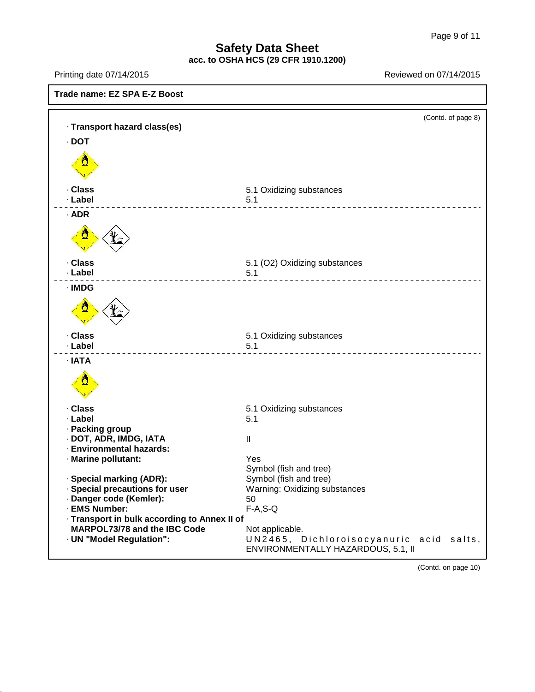# **Safety Data Sheet acc. to OSHA HCS (29 CFR 1910.1200)**

41.1.0



(Contd. on page 10)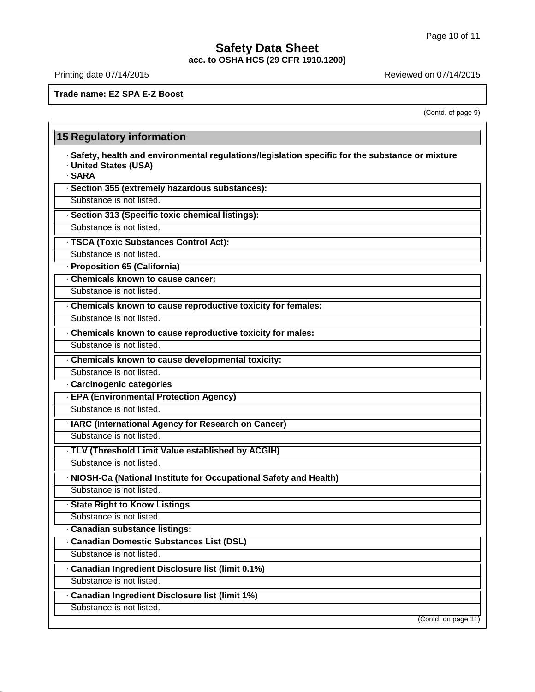# **Safety Data Sheet** Page 10 of 11<br> **Safety Data Sheet**<br>
acc. to OSHA HCS (29 CFR 1910.1200)<br>
Reviewed on 07/14/2015<br>
Reviewed on 07/14/2015

**acc. to OSHA HCS (29 CFR 1910.1200)**

41.1.0

**Trade name: EZ SPA E-Z Boost**

(Contd. of page 9)

| · Safety, health and environmental regulations/legislation specific for the substance or mixture<br>· United States (USA)<br>· SARA |  |
|-------------------------------------------------------------------------------------------------------------------------------------|--|
| · Section 355 (extremely hazardous substances):                                                                                     |  |
| Substance is not listed.                                                                                                            |  |
| · Section 313 (Specific toxic chemical listings):                                                                                   |  |
| Substance is not listed.                                                                                                            |  |
| · TSCA (Toxic Substances Control Act):                                                                                              |  |
| Substance is not listed.                                                                                                            |  |
| · Proposition 65 (California)                                                                                                       |  |
| Chemicals known to cause cancer:                                                                                                    |  |
| Substance is not listed.                                                                                                            |  |
| Chemicals known to cause reproductive toxicity for females:                                                                         |  |
| Substance is not listed.                                                                                                            |  |
| Chemicals known to cause reproductive toxicity for males:                                                                           |  |
| Substance is not listed.                                                                                                            |  |
| · Chemicals known to cause developmental toxicity:                                                                                  |  |
| Substance is not listed.                                                                                                            |  |
| · Carcinogenic categories                                                                                                           |  |
| · EPA (Environmental Protection Agency)                                                                                             |  |
| Substance is not listed.                                                                                                            |  |
| · IARC (International Agency for Research on Cancer)                                                                                |  |
| Substance is not listed.                                                                                                            |  |
| · TLV (Threshold Limit Value established by ACGIH)                                                                                  |  |
| Substance is not listed.                                                                                                            |  |
| · NIOSH-Ca (National Institute for Occupational Safety and Health)                                                                  |  |
| Substance is not listed.                                                                                                            |  |
| · State Right to Know Listings                                                                                                      |  |
| Substance is not listed.                                                                                                            |  |
| · Canadian substance listings:                                                                                                      |  |
| <b>Canadian Domestic Substances List (DSL)</b>                                                                                      |  |
| Substance is not listed.                                                                                                            |  |
| · Canadian Ingredient Disclosure list (limit 0.1%)                                                                                  |  |
| Substance is not listed.                                                                                                            |  |
| · Canadian Ingredient Disclosure list (limit 1%)                                                                                    |  |
| Substance is not listed.                                                                                                            |  |